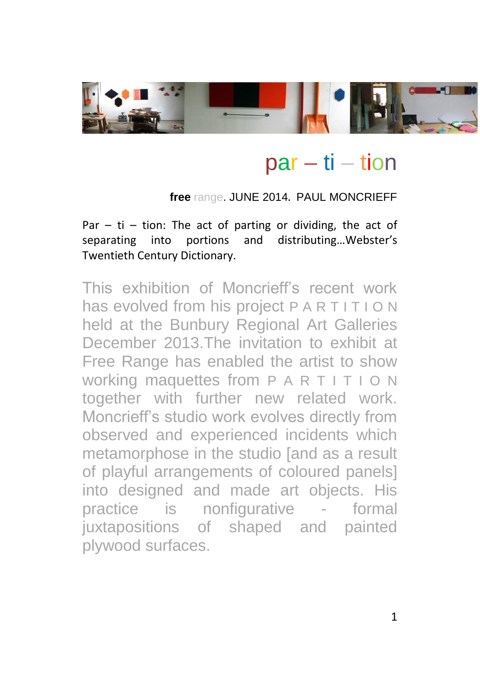

# $par - ti - tion$

#### **free** range. JUNE 2014**.** PAUL MONCRIEFF

Par  $-$  ti  $-$  tion: The act of parting or dividing, the act of separating into portions and distributing…Webster's Twentieth Century Dictionary.

This exhibition of Moncrieff's recent work has evolved from his project P A R T I T I O N held at the Bunbury Regional Art Galleries December 2013.The invitation to exhibit at Free Range has enabled the artist to show working maquettes from P A R T I T I O N together with further new related work. Moncrieff's studio work evolves directly from observed and experienced incidents which metamorphose in the studio [and as a result of playful arrangements of coloured panels] into designed and made art objects. His practice is nonfigurative - formal juxtapositions of shaped and painted plywood surfaces.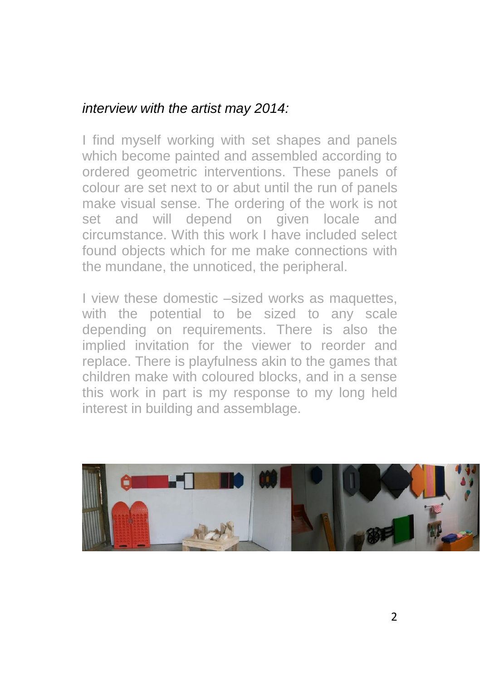### *interview with the artist may 2014:*

I find myself working with set shapes and panels which become painted and assembled according to ordered geometric interventions. These panels of colour are set next to or abut until the run of panels make visual sense. The ordering of the work is not set and will depend on given locale and circumstance. With this work I have included select found objects which for me make connections with the mundane, the unnoticed, the peripheral.

I view these domestic –sized works as maquettes, with the potential to be sized to any scale depending on requirements. There is also the implied invitation for the viewer to reorder and replace. There is playfulness akin to the games that children make with coloured blocks, and in a sense this work in part is my response to my long held interest in building and assemblage.

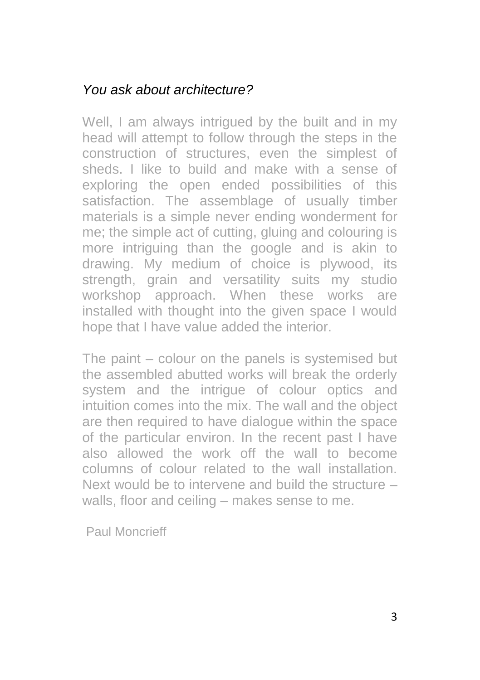### *You ask about architecture?*

Well, I am always intrigued by the built and in my head will attempt to follow through the steps in the construction of structures, even the simplest of sheds. I like to build and make with a sense of exploring the open ended possibilities of this satisfaction. The assemblage of usually timber materials is a simple never ending wonderment for me; the simple act of cutting, gluing and colouring is more intriguing than the google and is akin to drawing. My medium of choice is plywood, its strength, grain and versatility suits my studio workshop approach. When these works are installed with thought into the given space I would hope that I have value added the interior.

The paint – colour on the panels is systemised but the assembled abutted works will break the orderly system and the intrigue of colour optics and intuition comes into the mix. The wall and the object are then required to have dialogue within the space of the particular environ. In the recent past I have also allowed the work off the wall to become columns of colour related to the wall installation. Next would be to intervene and build the structure – walls, floor and ceiling – makes sense to me.

Paul Moncrieff